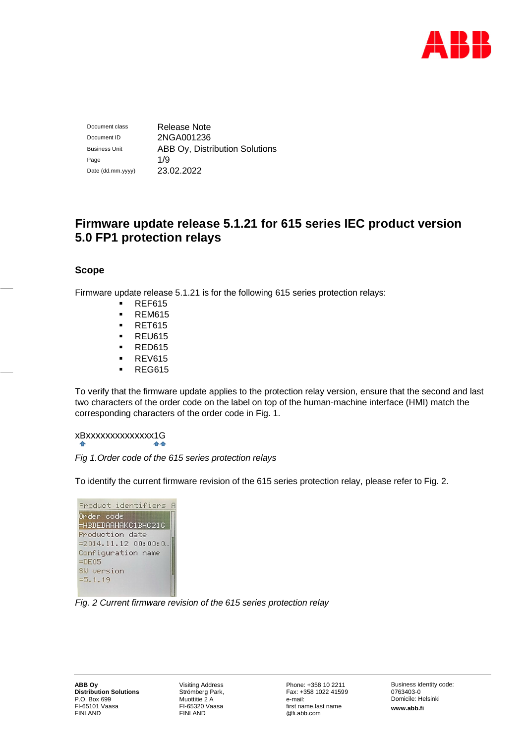

Document class Release Note Document ID 2NGA001236 Business Unit **ABB Oy, Distribution Solutions** Page 1/9 Date (dd.mm.yyyy) 23.02.2022

# **Firmware update release 5.1.21 for 615 series IEC product version 5.0 FP1 protection relays**

# **Scope**

Firmware update release 5.1.21 is for the following 615 series protection relays:

- **REF615**
- **-** REM615
- **RET615**
- **REU615**
- **RED615**
- **REV615**
- **REG615**

To verify that the firmware update applies to the protection relay version, ensure that the second and last two characters of the order code on the label on top of the human-machine interface (HMI) match the corresponding characters of the order code in Fig. 1.

# xBxxxxxxxxxxxxxx1G

# *Fig 1.Order code of the 615 series protection relays*

To identify the current firmware revision of the 615 series protection relay, please refer to Fig. 2.

| Product identifiers A                                           |  |
|-----------------------------------------------------------------|--|
| Onden code<br>=HBDEDAAHAKC1BHC21G                               |  |
| Production date<br>$= 2014.11.12 00:00:0$<br>Configuration name |  |
| $=$ DE05<br>SW version                                          |  |
| $=5.1.19$                                                       |  |

# *Fig. 2 Current firmware revision of the 615 series protection relay*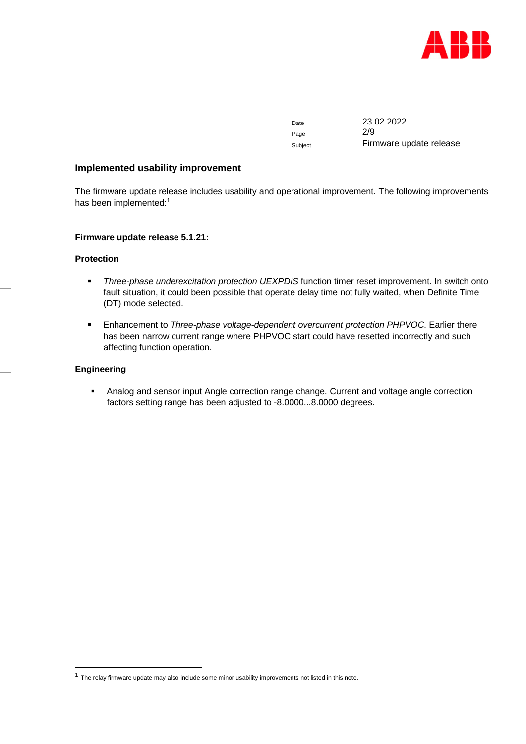

Page 2/9

Date 23.02.2022 Subject Firmware update release

## **Implemented usability improvement**

The firmware update release includes usability and operational improvement. The following improvements has been implemented:<sup>1</sup>

#### **Firmware update release 5.1.21:**

# **Protection**

- *Three-phase underexcitation protection UEXPDIS* function timer reset improvement. In switch onto fault situation, it could been possible that operate delay time not fully waited, when Definite Time (DT) mode selected.
- Enhancement to *Three-phase voltage-dependent overcurrent protection PHPVOC*. Earlier there has been narrow current range where PHPVOC start could have resetted incorrectly and such affecting function operation.

#### **Engineering**

**Analog and sensor input Angle correction range change. Current and voltage angle correction** factors setting range has been adjusted to -8.0000...8.0000 degrees.

 $<sup>1</sup>$  The relay firmware update may also include some minor usability improvements not listed in this note.</sup>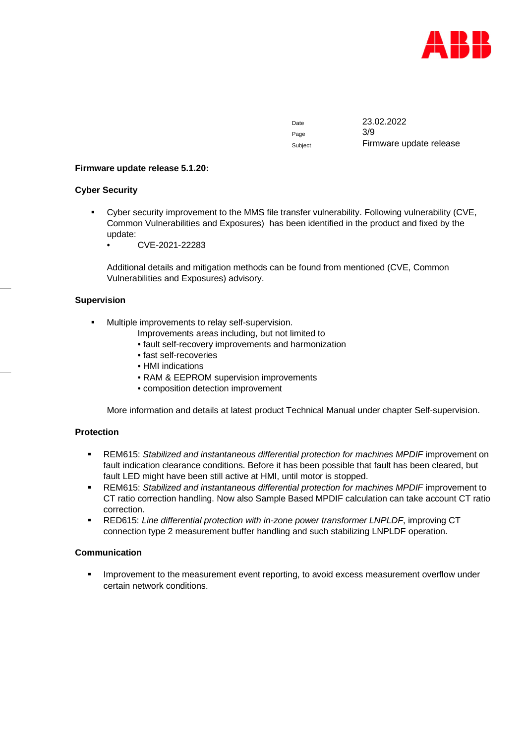

Page 3/9

Date 23.02.2022 Subject Firmware update release

## **Firmware update release 5.1.20:**

## **Cyber Security**

- Cyber security improvement to the MMS file transfer vulnerability. Following vulnerability (CVE, Common Vulnerabilities and Exposures) has been identified in the product and fixed by the update:
	- CVE-2021-22283

Additional details and mitigation methods can be found from mentioned (CVE, Common Vulnerabilities and Exposures) advisory.

## **Supervision**

- Multiple improvements to relay self-supervision.
	- Improvements areas including, but not limited to
	- fault self-recovery improvements and harmonization
	- fast self-recoveries
	- HMI indications
	- RAM & EEPROM supervision improvements
	- composition detection improvement

More information and details at latest product Technical Manual under chapter Self-supervision.

## **Protection**

- REM615: *Stabilized and instantaneous differential protection for machines MPDIF* improvement on fault indication clearance conditions. Before it has been possible that fault has been cleared, but fault LED might have been still active at HMI, until motor is stopped.
- REM615: *Stabilized and instantaneous differential protection for machines MPDIF* improvement to CT ratio correction handling. Now also Sample Based MPDIF calculation can take account CT ratio correction.
- RED615: *Line differential protection with in-zone power transformer LNPLDF*, improving CT connection type 2 measurement buffer handling and such stabilizing LNPLDF operation.

#### **Communication**

**IMPROVEMENT TO KIMP IMPROVERGER** improvement event reporting, to avoid excess measurement overflow under certain network conditions.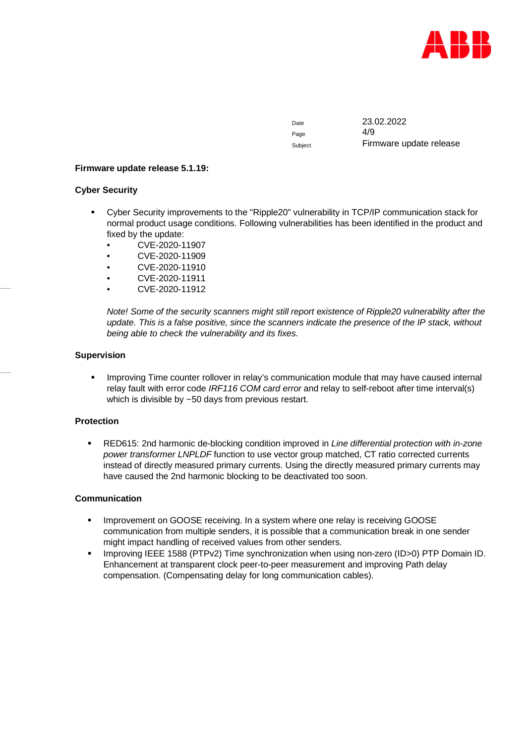

Page 4/9

Date 23.02.2022 Subject **Firmware update release** 

## **Firmware update release 5.1.19:**

## **Cyber Security**

- Cyber Security improvements to the "Ripple20" vulnerability in TCP/IP communication stack for normal product usage conditions. Following vulnerabilities has been identified in the product and fixed by the update:
	- CVE-2020-11907
	- CVE-2020-11909
	- CVE-2020-11910
	- CVE-2020-11911
	- CVE-2020-11912

*Note! Some of the security scanners might still report existence of Ripple20 vulnerability after the update. This is a false positive, since the scanners indicate the presence of the IP stack, without being able to check the vulnerability and its fixes.*

## **Supervision**

 Improving Time counter rollover in relay's communication module that may have caused internal relay fault with error code *IRF116 COM card error* and relay to self-reboot after time interval(s) which is divisible by ~50 days from previous restart.

# **Protection**

 RED615: 2nd harmonic de-blocking condition improved in *Line differential protection with in-zone power transformer LNPLDF* function to use vector group matched, CT ratio corrected currents instead of directly measured primary currents. Using the directly measured primary currents may have caused the 2nd harmonic blocking to be deactivated too soon.

#### **Communication**

- **IMPROVEMENT ON GOOSE receiving. In a system where one relay is receiving GOOSE** communication from multiple senders, it is possible that a communication break in one sender might impact handling of received values from other senders.
- Improving IEEE 1588 (PTPv2) Time synchronization when using non-zero (ID>0) PTP Domain ID. Enhancement at transparent clock peer-to-peer measurement and improving Path delay compensation. (Compensating delay for long communication cables).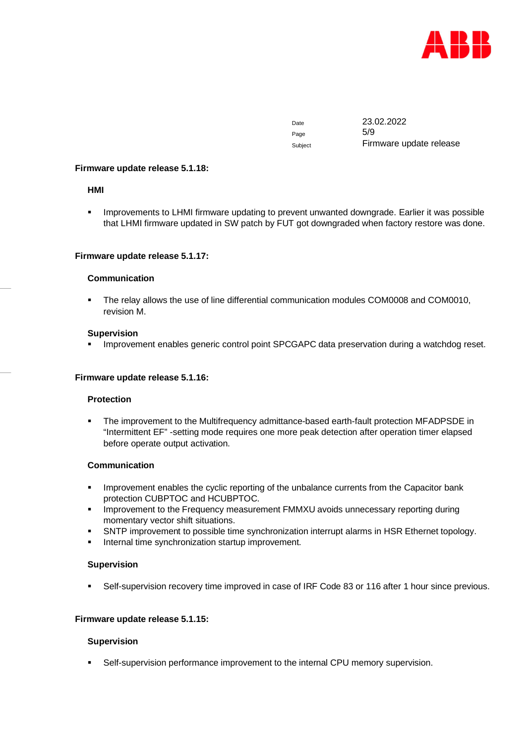

Page 5/9

Date 23.02.2022 Subject Firmware update release

#### **Firmware update release 5.1.18:**

## **HMI**

**IMPROVEMENTS TO LHMI firmware updating to prevent unwanted downgrade. Earlier it was possible** that LHMI firmware updated in SW patch by FUT got downgraded when factory restore was done.

## **Firmware update release 5.1.17:**

## **Communication**

 The relay allows the use of line differential communication modules COM0008 and COM0010, revision M.

#### **Supervision**

Improvement enables generic control point SPCGAPC data preservation during a watchdog reset.

## **Firmware update release 5.1.16:**

#### **Protection**

 The improvement to the Multifrequency admittance-based earth-fault protection MFADPSDE in "Intermittent EF" -setting mode requires one more peak detection after operation timer elapsed before operate output activation.

## **Communication**

- **IMPROVEMENT ENGLISHS IN EXAM** Improvement enables the cyclic reporting of the unbalance currents from the Capacitor bank protection CUBPTOC and HCUBPTOC.
- Improvement to the Frequency measurement FMMXU avoids unnecessary reporting during momentary vector shift situations.
- SNTP improvement to possible time synchronization interrupt alarms in HSR Ethernet topology.
- Internal time synchronization startup improvement.

#### **Supervision**

Self-supervision recovery time improved in case of IRF Code 83 or 116 after 1 hour since previous.

#### **Firmware update release 5.1.15:**

#### **Supervision**

Self-supervision performance improvement to the internal CPU memory supervision.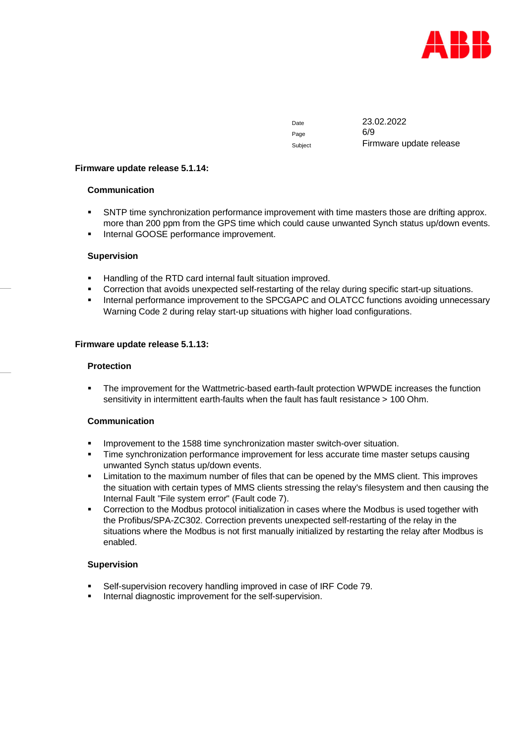

Page 6/9

Date 23.02.2022 Subject **Firmware update release** 

#### **Firmware update release 5.1.14:**

## **Communication**

- SNTP time synchronization performance improvement with time masters those are drifting approx. more than 200 ppm from the GPS time which could cause unwanted Synch status up/down events.
- Internal GOOSE performance improvement.

## **Supervision**

- Handling of the RTD card internal fault situation improved.
- Correction that avoids unexpected self-restarting of the relay during specific start-up situations.
- Internal performance improvement to the SPCGAPC and OLATCC functions avoiding unnecessary Warning Code 2 during relay start-up situations with higher load configurations.

## **Firmware update release 5.1.13:**

#### **Protection**

 The improvement for the Wattmetric-based earth-fault protection WPWDE increases the function sensitivity in intermittent earth-faults when the fault has fault resistance > 100 Ohm.

# **Communication**

- **IMPROVEMENT 1588 THE SYNCHROW MET SHOW SHOW THE IMPROVER SITUATION.**
- Time synchronization performance improvement for less accurate time master setups causing unwanted Synch status up/down events.
- Limitation to the maximum number of files that can be opened by the MMS client. This improves the situation with certain types of MMS clients stressing the relay's filesystem and then causing the Internal Fault "File system error" (Fault code 7).
- Correction to the Modbus protocol initialization in cases where the Modbus is used together with the Profibus/SPA-ZC302. Correction prevents unexpected self-restarting of the relay in the situations where the Modbus is not first manually initialized by restarting the relay after Modbus is enabled.

#### **Supervision**

- Self-supervision recovery handling improved in case of IRF Code 79.
- Internal diagnostic improvement for the self-supervision.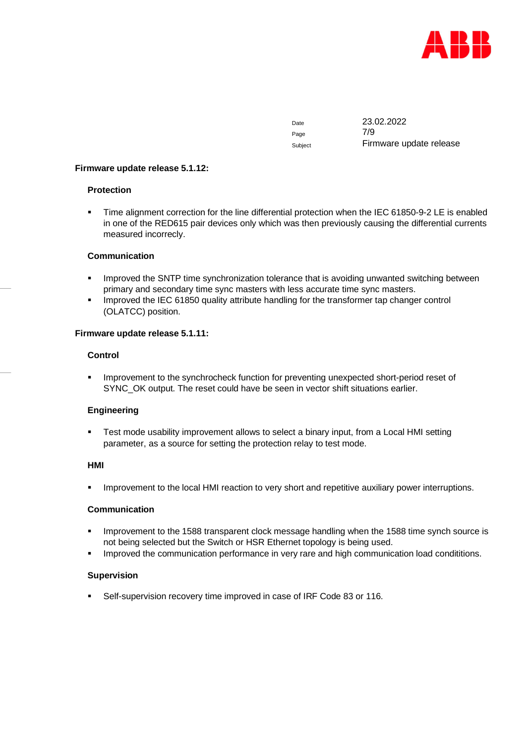

Page 7/9

Date 23.02.2022 Subject **Firmware update release** 

## **Firmware update release 5.1.12:**

## **Protection**

 Time alignment correction for the line differential protection when the IEC 61850-9-2 LE is enabled in one of the RED615 pair devices only which was then previously causing the differential currents measured incorrecly.

## **Communication**

- **IMPROVED the SNTP time synchronization tolerance that is avoiding unwanted switching between** primary and secondary time sync masters with less accurate time sync masters.
- Improved the IEC 61850 quality attribute handling for the transformer tap changer control (OLATCC) position.

## **Firmware update release 5.1.11:**

## **Control**

**IMPROVEMENT TO the synchrocheck function for preventing unexpected short-period reset of** SYNC\_OK output. The reset could have be seen in vector shift situations earlier.

# **Engineering**

 Test mode usability improvement allows to select a binary input, from a Local HMI setting parameter, as a source for setting the protection relay to test mode.

#### **HMI**

Improvement to the local HMI reaction to very short and repetitive auxiliary power interruptions.

#### **Communication**

- **IMPROVEMENT THE 1588 STANST 1588 TEADER 1588 THE 1588 THE STANS** in Provension to the 1588 time synch source is not being selected but the Switch or HSR Ethernet topology is being used.
- Improved the communication performance in very rare and high communication load condititions.

#### **Supervision**

Self-supervision recovery time improved in case of IRF Code 83 or 116.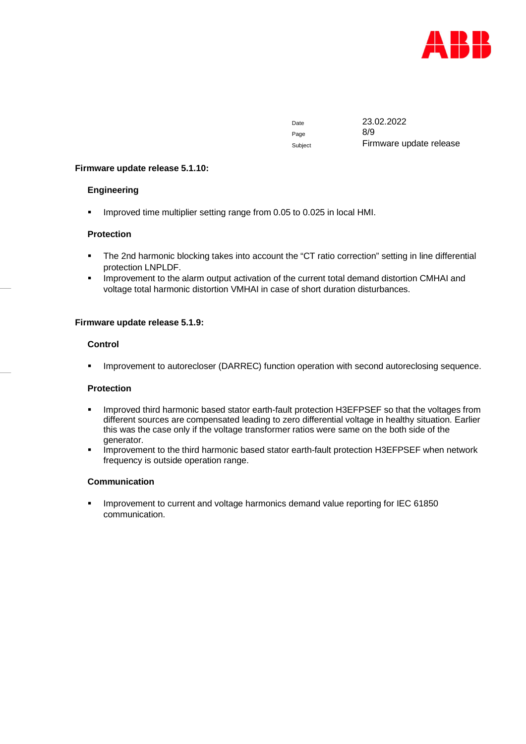

Page 8/9

Date 23.02.2022 Subject **Firmware update release** 

## **Firmware update release 5.1.10:**

## **Engineering**

Improved time multiplier setting range from 0.05 to 0.025 in local HMI.

## **Protection**

- The 2nd harmonic blocking takes into account the "CT ratio correction" setting in line differential protection LNPLDF.
- **IMPROVEMENT ACTE 2015 IMPROVERGENT IMPLE ACTES 12 IMPROVERGENT ACTES** IMPROVERGENT IMPROVERGENT IMPROVERGENT And IMPROVERGENT And and voltage total harmonic distortion VMHAI in case of short duration disturbances.

## **Firmware update release 5.1.9:**

## **Control**

Improvement to autorecloser (DARREC) function operation with second autoreclosing sequence.

#### **Protection**

- Improved third harmonic based stator earth-fault protection H3EFPSEF so that the voltages from different sources are compensated leading to zero differential voltage in healthy situation. Earlier this was the case only if the voltage transformer ratios were same on the both side of the generator.
- **IMPROVEMENT to the third harmonic based stator earth-fault protection H3EFPSEF when network** frequency is outside operation range.

## **Communication**

 Improvement to current and voltage harmonics demand value reporting for IEC 61850 communication.